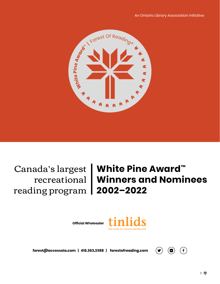

reading program **2002–2022**

# Canada's largest **White Pine Award™** recreational **Winners and Nominees**

**Official Wholesaler**



forest@accessola.com | 416.363.3388 | forestofreading.com

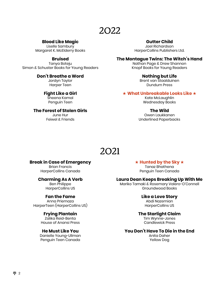#### **Blood Like Magic**

Liselle Sambury Margaret K. McElderry Books

#### **Bruised**

Tanya Boteju Simon & Schuster Books for Young Readers

#### **Don't Breathe a Word**

Jordyn Taylor Harper Teen

#### **Fight Like a Girl**

Sheena Kamal Penguin Teen

#### **The Forest of Stolen Girls**

June Hur Feiwel & Friends

#### **Gutter Child**

Jael Richardson HarperCollins Publishers Ltd.

#### **The Montague Twins: The Witch's Hand**

Nathan Page & Drew Shannon Knopf Books for Young Readers

#### **Nothing but Life**

Brent van Staalduinen Dundurn Press

#### ★ **What Unbreakable Looks Like** ★

Kate McLaughlin Wednesday Books

#### **The Wild**

Owen Laukkanen Underlined Paperbacks

### 2021

#### **Break in Case of Emergency**

Brian Francis HarperCollins Canada

#### **Charming As A Verb**

Ben Philippe HarperCollins US

#### **Fan the Fame**

Anna Priemaza HarperTeen (HarperCollins US)

#### **Frying Plantain**

Zalika Reid-Benta House of Anansi Press

#### **He Must Like You**

Danielle Young-Ullman Penguin Teen Canada

#### ★ **Hunted by the Sky** ★

Tanaz Bhathena Penguin Teen Canada

#### **Laura Dean Keeps Breaking Up With Me**

Mariko Tamaki & Rosemary Valero-O'Connell Groundwood Books

#### **Like a Love Story**

Abdi Nazemian HarperCollins US

#### **The Starlight Claim**

Tim Wynne-Jones Candlewick Press

#### **You Don't Have To Die in the End**

Anita Daher Yellow Dog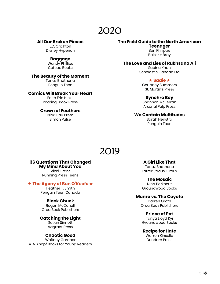#### **All Our Broken Pieces**

L.D. Crichton Disney Hyperion

#### **Baggage**

Wendy Phillips Coteau Books

#### **The Beauty of the Moment**

Tanaz Bhathena Penguin Teen

#### **Comics Will Break Your Heart**

Faith Erin Hicks Roaring Brook Press

#### **Crown of Feathers**

Nicki Pau Preto Simon Pulse

#### **The Field Guide to the North American**

**Teenager** Ben Philippe Balzer + Bray

#### **The Love and Lies of Rukhsana Ali**

Sabina Khan Scholastic Canada Ltd

#### ★ **Sadie** ★

Courtney Summers St. Martin's Press

#### **Synchro Boy**

Shannon McFerran Arsenal Pulp Press

#### **We Contain Multitudes**

Sarah Henstra Penguin Teen

### 2019

### **36 Questions That Changed My Mind About You**

Vicki Grant Running Press Teens

#### ★ **The Agony of Bun O'Keefe** ★

Heather T. Smith Penguin Teen Canada

#### **Black Chuck**

Regan McDonell Orca Book Publishers

#### **Catching the Light**

Susan Sinnott Vagrant Press

#### **Chaotic Good**

Whitney Gardner A. A. Knopf Books for Young Readers

#### **A Girl Like That**

Tanaz Bhathena Farrar Straus Giroux

#### **The Mosaic**

Nina Berkhout Groundwood Books

#### **Munro vs. The Coyote**

Darren Groth Orca Book Publishers

#### **Prince of Pot**

Tanya Lloyd Kyi Groundwood Books

#### **Recipe for Hate**

Warren Kinsella Dundurn Press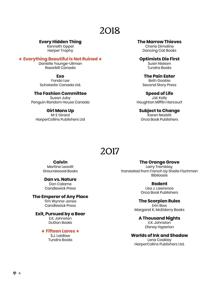#### **Every Hidden Thing**

Kenneth Oppel Harper Trophy

#### ★ **Everything Beautiful is Not Ruined** ★

Danielle Younge-Ullman Razorbill Canada

**Exo** Fonda Lee Scholastic Canada Ltd.

#### **The Fashion Committee**

Susan Juby Penguin Random House Canada

#### **Girl Mans Up**

M-E Girard HarperCollins Publishers Ltd

#### **The Marrow Thieves**

Cherie Dimaline Dancing Cat Books

**Optimists Die First** Susin Nielsen

Tundra Books

**The Pain Eater** Beth Goobie Second Story Press

**Speed of Life** J.M. Kelly Houghton Mifflin Harcourt

#### **Subject to Change**

Karen Nesbitt Orca Book Publishers

### 2017

**Calvin**

Martine Leavitt Groundwood Books

#### **Dan vs. Nature**

Don Calame Candlewick Press

#### **The Emperor of Any Place**

Tim Wynne-Jones Candlewick Press

#### **Exit, Pursued by a Bear**

E.K. Johnston Dutton Books

★ **Fifteen Lanes** ★

S.J. Laidlaw Tundra Books

#### **The Orange Grove**

Larry Tremblay, translated from French by Sheila Fischman **Biblioasis** 

#### **Rodent**

Lisa J. Lawrence Orca Book Publishers

**The Scorpion Rules** Erin Bow

Margaret K. McElderry Books

#### **A Thousand Nights**

E.K. Johnston Disney Hyperion

#### **Worlds of Ink and Shadow**

Lena Coakley HarperCollins Publishers Ltd.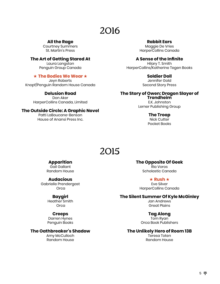**All the Rage**

Courtney Summers St. Martin's Press

**The Art of Getting Stared At** Laura Langston Penguin Group Canada

#### ★ **The Bodies We Wear** ★

Jeyn Roberts Knopf/Penguin Random House Canada

> **Delusion Road** Don Aker HarperCollins Canada, Limited

#### **The Outside Circle: A Graphic Novel**

Patti LaBoucane-Benson House of Anansi Press Inc.

**Rabbit Ears** Maggie De Vries HarperCollins Canada

**A Sense of the Infinite**

Hilary T. Smith HarperCollins/Katherine Tegen Books

**Soldier Doll**

Jennifer Gold Second Story Press

**The Story of Owen: Dragon Slayer of Trondheim**

> E.K. Johnston Lerner Publishing Group

#### **The Troop**

Nick Cutter Pocket Books

### 2015

#### **Apparition**

Gail Gallant Random House

#### **Audacious**

Gabrielle Prendergast **Orca** 

#### **Baygirl**

Heather Smith **Orca** 

#### **Creeps**

Darren Hynes Penguin Books

#### **The Oathbreaker's Shadow**

Amy McCulloch Random House

**The Opposite Of Geek** Ria Voros Scholastic Canada

> ★ **Rush** ★ Eve Silver

HarperCollins Canada

#### **The Silent Summer Of Kyle McGinley**

Jan Andrews Great Plains

#### **Tag Along**

Tom Ryan Orca Book Publishers

#### **The Unlikely Hero of Room 13B**

Teresa Toten Random House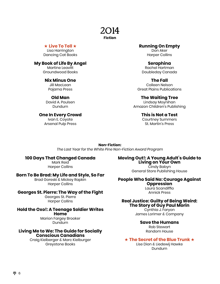#### **Fiction**

#### ★ **Live To Tell** ★

Lisa Harrington Dancing Cat Books

#### **My Book of Life By Angel**

Martine Leavitt Groundwood Books

#### **Nix Minus One**

Jill MacLean Pajama Press

#### **Old Man**

David A. Poulsen Dundurn

#### **One In Every Crowd**

Ivan E. Coyote Arsenal Pulp Press

#### **Running On Empty** Don Aker

Harper Collins

#### **Seraphina** Rachel Hartman Doubleday Canada

**The Fall** Colleen Nelson Great Plains Publications

#### **The Waiting Tree**

Lindsay Moynihan Amazon Children's Publishing

#### **This is Not a Test**

Courtney Summers St. Martin's Press

**Non-Fiction:**  *The Last Year for the White Pine Non-Fiction Award Program*

#### **100 Days That Changed Canada**

Mark Reid Harper Collins

#### **Born To Be Brad: My Life and Style, So Far**

Brad Goreski & Mickey Rapkin Harper Collins

#### **Georges St. Pierre: The Way of the Fight**

Georges St. Pierre Harper Collins

#### **Hold the Oxo!: A Teenage Soldier Writes Home** Marion Fargey Brooker

Dundurn

#### **Living Me to We: The Guide for Socially Conscious Canadians**

Craig Kielberger & Marc Kielburger Greystone Books

### **Moving Out!: A Young Adult's Guide to Living on Your Own** Cindy Babyn

General Store Publishing House

### **People Who Said No: Courage Against Oppression**

Laura Scandiffio Annick Press

#### **Real Justice: Guilty of Being Weird: The Story of Guy Paul Morin**

Cynthia J. Faryon James Lorimer & Company

#### **Save the Humans**

Rob Stewart Random House

#### ★ **The Secret of the Blue Trunk** ★

Lise Dion & Liedewij Hawke Dundurn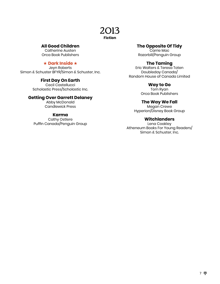#### **Fiction**

#### **All Good Children**

Catherine Austen Orca Book Publishers

#### ★ **Dark Inside** ★

Jeyn Roberts Simon & Schuster BFYR/Simon & Schuster, Inc.

#### **First Day On Earth**

Cecil Castellucci Scholastic Press/Scholastic Inc.

#### **Getting Over Garrett Delaney**

Abby McDonald Candlewick Press

#### **Karma**

Cathy Ostlere Puffin Canada/Penguin Group

#### **The Opposite Of Tidy**

Carrie Mac Razorbill/Penguin Group

#### **The Taming**

Eric Walters & Teresa Toten Doubleday Canada/ Random House of Canada Limited

#### **Way to Go**

Tom Ryan Orca Book Publishers

#### **The Way We Fall**

Megan Crewe Hyperion/Disney Book Group

#### **Witchlanders**

Lena Coakley Atheneum Books For Young Readers/ Simon & Schuster, Inc.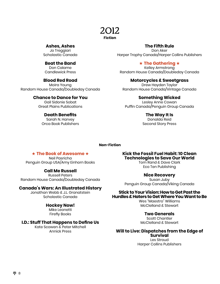#### 2012 **Fiction**

**Ashes, Ashes**

Jo Treggiari Scholastic Canada

#### **Beat the Band** Don Calame

Candlewick Press

#### **Blood Red Road**

Moira Young Random House Canada/Doubleday Canada

#### **Chance to Dance for You**

Gail Sidonie Sobat Great Plains Publications

#### **Death Benefits**

Sarah N. Harvey Orca Book Publishers

#### **The Fifth Rule**

Don Aker Harper Trophy Canada/Harper Collins Publishers

#### ★ **The Gathering** ★

Kelley Armstrong Random House Canada/Doubleday Canada

#### **Motorcycles & Sweetgrass**

Drew Hayden Taylor Random House Canada/Vintage Canada

#### **Something Wicked**

Lesley Anne Cowan Puffin Canada/Penguin Group Canada

#### **The Way It Is**

Donalda Reid Second Story Press

#### **Non-Fiction**

#### ★ **The Book of Awesome** ★

Neil Pasricha Penguin Group USA/Amy Einhorn Books

#### **Call Me Russell**

Russell Peters Random House Canada/Doubleday Canada

#### **Canada's Wars: An Illustrated History**

Jonathan Webb & J.L. Granatstein Scholastic Canada

#### **Hockey Now!**

Mike Leonetti Firefly Books

#### **I.D.: Stuff That Happens to Define Us**

Kate Scowen & Peter Mitchell Annick Press

**Kick the Fossil Fuel Habit: 10 Clean Technologies to Save Our World**

Tom Rand & Dave Clark Eco Ten Publishing

#### **Nice Recovery**

Susan Juby Penguin Group Canada/Viking Canada

#### **Stick to Your Vision: How to Get Past the Hurdles & Haters to Get Where You Want to Be**

Wes "Maestro" Williams McClelland & Stewart

#### **Two Generals**

Scott Chantler McClelland & Stewart

#### **Will to Live: Dispatches from the Edge of Survival**

Les Stroud Harper Collins Publishers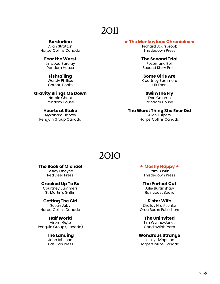**Borderline** Allan Stratton HarperCollins Canada

**Fear the Worst** Linwood Barclay Random House

#### **Fishtailing**

Wendy Phillips Coteau Books

#### **Gravity Brings Me Down**

Natale Ghent Random House

#### **Hearts at Stake**

Alyxandra Harvey Penguin Group Canada

#### ★ **The Monkeyface Chronicles** ★

Richard Scarsbrook Thistledown Press

**The Second Trial** Rosemarie Boll Second Story Press

**Some Girls Are** Courtney Summers HB Fenn

**Swim the Fly** Don Calame Random House

**The Worst Thing She Ever Did** Alice Kuipers HarperCollins Canada

### 2010

#### **The Book of Michael**

Lesley Choyce Red Deer Press

**Cracked Up To Be** 

Courtney Summers St. Martin's Griffin

#### **Getting The Girl**

Susan Juby HarperCollins Canada

#### **Half World**

Hiromi Goto Penguin Group (Canada)

#### **The Landing**

John Ibbitson Kids Can Press ★ **Mostly Happy** ★ Pam Bustin

Thistledown Press

**The Perfect Cut** Julie Burtinshaw Raincoast Books

**Sister Wife** Shelley Hrdlitschka Orca Books Publishers

**The Uninvited**

Tim Wynne-Jones Candlewick Press

**Wondrous Strange**

Lesley Livingston HarperCollins Canada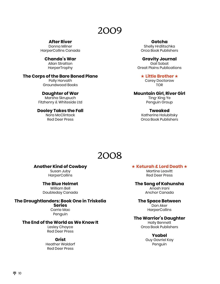**After River**

Donna Milner HarperCollins Canada

> **Chanda's War** Allan Stratton **HarperTrophy**

#### **The Corps of the Bare Boned Plane**

Polly Horvath Groundwood Books

#### **Daughter of War**

Marsha Skrupuch Fitzhenry & Whiteside Ltd

#### **Dooley Takes the Fall** Nora McClintock

Red Deer Press

#### **Gotcha** Shelly Hrdlitschka

Orca Book Publishers

**Gravity Journal**  Gail Sobat Great Plains Publications

★ **Little Brother** ★ Corey Doctorow TOR

#### **Mountain Girl, River Girl**

Ting-Xing Ye Penguin Group

#### **Tweaked**

Katherine Holubitsky Orca Book Publishers

### 2008

#### **Another Kind of Cowboy**

Susan Juby **HarperCollins** 

#### **The Blue Helmet**

William Bell Doubleday Canada

#### **The Droughtlanders: Book One in Triskelia**

**Series**

Carrie Mac Penguin

#### **The End of the World as We Know It**

Lesley Choyce Red Deer Press

#### **Grist**

Heather Waldorf Red Deer Press

#### ★ **Keturah & Lord Death** ★

Martine Leavitt Red Deer Press

#### **The Song of Kahunsha**

Anosh Irani Anchor Canada

#### **The Space Between**

Don Aker **HarperCollins** 

#### **The Warrior's Daughter**

Holly Bennett Orca Book Publishers

#### **Ysabel**

Guy Gavriel Kay Penguin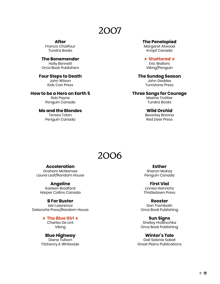**After** Francis Chalifour Tundra Books

**The Bonemender**  Holly Bennett Orca Book Publishers

**Four Steps to Death** John Wilson Kids Can Press

**How to be a Hero on Earth 5** Rob Payne

Penguin Canada **Me and the Blondes**  Teresa Toten

Penguin Canada

**The Penelopiad**

Margaret Atwood Knopf Canada

★ **Shattered** ★ Eric Walters Viking/Penguin

**The Sundog Season** John Geddes Turnstone Press

**Three Songs for Courage**  Maxine Trottier Tundra Books

> **Wild Orchid**  Beverley Brenna Red Deer Press

### 2006

#### **Acceleration**

Graham McNamee Laurel Leaf/Random House

#### **Angeline**

Karleen Bradford Harper Collins Canada

#### **B For Buster**

Iain Lawrence Delacorte Press/Random House

★ **The Blue Girl** ★

Charles De Lint Viking

#### **Blue Highway**

Diane Tullson Fitzhenry & Whiteside

**Esther** Sharon McKay Penguin Canada

**First Vial** Linnea Heinrichs Thistledown Press

**Rooster** Don Trembath Orca Book Publishing

**Sun Signs** Shelley Hrdlitschka Orca Book Publishing

**Winter's Tale**

Gail Sidonie Sobat Great Plains Publications

#### 11 \*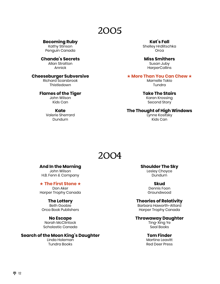**Becoming Ruby**

Kathy Stinson Penguin Canada

**Chanda's Secrets** Allan Stratton Annick

#### **Cheeseburger Subversive**

Richard Scarsbrook **Thistledown** 

#### **Flames of the Tiger**

John Wilson Kids Can

**Kate** Valerie Sherrard Dundurn

**Kat's Fall** Shelley Hrdlitschka **Orca** 

**Miss Smithers** Susan Juby **HarperCollins** 

#### ★ **More Than You Can Chew** ★

Marnelle Tokio Tundra

#### **Take The Stairs**

Karen Krossing Second Story

**The Thought of High Windows** Lynne Kositsky Kids Can

### 2004

#### **And In the Morning**

John Wilson H.B. Fenn & Company

★ **The First Stone** ★

Don Aker Harper Trophy Canada

#### **The Lottery**

Beth Goobie Orca Book Publishers

#### **No Escape**

Norah McClintock Scholastic Canada

#### **Search of the Moon King's Daughter**

Linda Holeman Tundra Books

**Shoulder The Sky**

Lesley Choyce Dundurn

**Skud** Dennis Foon Groundwood

#### **Theories of Relativity**

Barbara Haworth-Attard Harper Trophy Canada

#### **Throwaway Daughter**

Ting-Xing Ye Seal Books

#### **Tom Finder**

Martine Leavitt Red Deer Press